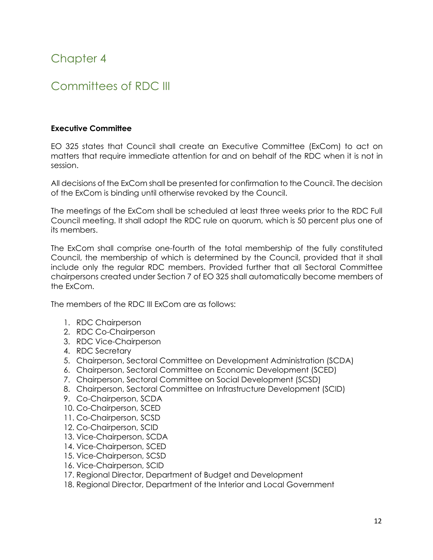# Chapter 4

## Committees of RDC III

#### **Executive Committee**

EO 325 states that Council shall create an Executive Committee (ExCom) to act on matters that require immediate attention for and on behalf of the RDC when it is not in session.

All decisions of the ExCom shall be presented for confirmation to the Council. The decision of the ExCom is binding until otherwise revoked by the Council.

The meetings of the ExCom shall be scheduled at least three weeks prior to the RDC Full Council meeting. It shall adopt the RDC rule on quorum, which is 50 percent plus one of its members.

The ExCom shall comprise one-fourth of the total membership of the fully constituted Council, the membership of which is determined by the Council, provided that it shall include only the regular RDC members. Provided further that all Sectoral Committee chairpersons created under Section 7 of EO 325 shall automatically become members of the ExCom.

The members of the RDC III ExCom are as follows:

- 1. RDC Chairperson
- 2. RDC Co-Chairperson
- 3. RDC Vice-Chairperson
- 4. RDC Secretary
- 5. Chairperson, Sectoral Committee on Development Administration (SCDA)
- 6. Chairperson, Sectoral Committee on Economic Development (SCED)
- 7. Chairperson, Sectoral Committee on Social Development (SCSD)
- 8. Chairperson, Sectoral Committee on Infrastructure Development (SCID)
- 9. Co-Chairperson, SCDA
- 10. Co-Chairperson, SCED
- 11. Co-Chairperson, SCSD
- 12. Co-Chairperson, SCID
- 13. Vice-Chairperson, SCDA
- 14. Vice-Chairperson, SCED
- 15. Vice-Chairperson, SCSD
- 16. Vice-Chairperson, SCID
- 17. Regional Director, Department of Budget and Development
- 18. Regional Director, Department of the Interior and Local Government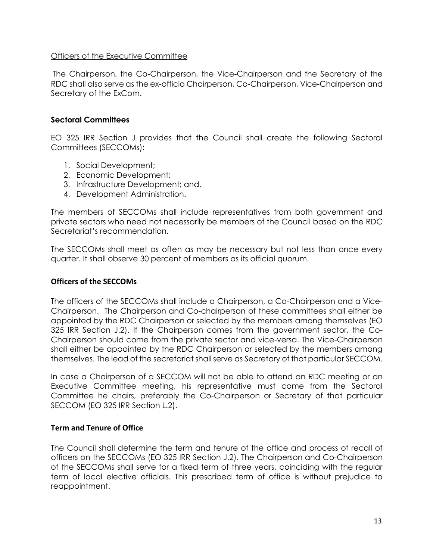#### Officers of the Executive Committee

The Chairperson, the Co-Chairperson, the Vice-Chairperson and the Secretary of the RDC shall also serve as the ex-officio Chairperson, Co-Chairperson, Vice-Chairperson and Secretary of the ExCom.

#### **Sectoral Committees**

EO 325 IRR Section J provides that the Council shall create the following Sectoral Committees (SECCOMs):

- 1. Social Development;
- 2. Economic Development;
- 3. Infrastructure Development; and,
- 4. Development Administration.

The members of SECCOMs shall include representatives from both government and private sectors who need not necessarily be members of the Council based on the RDC Secretariat's recommendation.

The SECCOMs shall meet as often as may be necessary but not less than once every quarter. It shall observe 30 percent of members as its official quorum.

#### **Officers of the SECCOMs**

The officers of the SECCOMs shall include a Chairperson, a Co-Chairperson and a Vice-Chairperson. The Chairperson and Co-chairperson of these committees shall either be appointed by the RDC Chairperson or selected by the members among themselves (EO 325 IRR Section J.2). If the Chairperson comes from the government sector, the Co-Chairperson should come from the private sector and vice-versa. The Vice-Chairperson shall either be appointed by the RDC Chairperson or selected by the members among themselves. The lead of the secretariat shall serve as Secretary of that particular SECCOM.

In case a Chairperson of a SECCOM will not be able to attend an RDC meeting or an Executive Committee meeting, his representative must come from the Sectoral Committee he chairs, preferably the Co-Chairperson or Secretary of that particular SECCOM (EO 325 IRR Section L.2).

#### **Term and Tenure of Office**

The Council shall determine the term and tenure of the office and process of recall of officers on the SECCOMs (EO 325 IRR Section J.2). The Chairperson and Co-Chairperson of the SECCOMs shall serve for a fixed term of three years, coinciding with the regular term of local elective officials. This prescribed term of office is without prejudice to reappointment.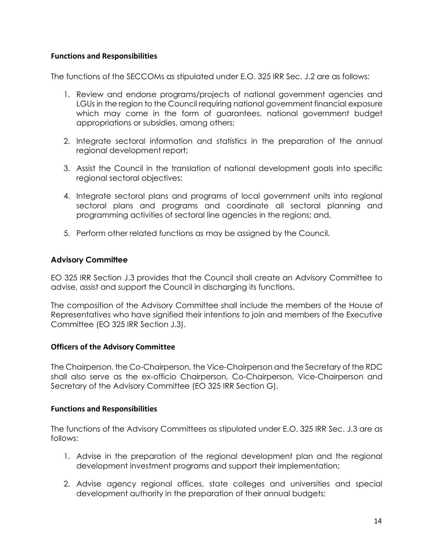#### **Functions and Responsibilities**

The functions of the SECCOMs as stipulated under E.O. 325 IRR Sec. J.2 are as follows:

- 1. Review and endorse programs/projects of national government agencies and LGUs in the region to the Council requiring national government financial exposure which may come in the form of guarantees, national government budget appropriations or subsidies, among others;
- 2. Integrate sectoral information and statistics in the preparation of the annual regional development report;
- 3. Assist the Council in the translation of national development goals into specific regional sectoral objectives;
- 4. Integrate sectoral plans and programs of local government units into regional sectoral plans and programs and coordinate all sectoral planning and programming activities of sectoral line agencies in the regions; and,
- 5. Perform other related functions as may be assigned by the Council.

## **Advisory Committee**

EO 325 IRR Section J.3 provides that the Council shall create an Advisory Committee to advise, assist and support the Council in discharging its functions.

The composition of the Advisory Committee shall include the members of the House of Representatives who have signified their intentions to join and members of the Executive Committee (EO 325 IRR Section J.3).

#### **Officers of the Advisory Committee**

The Chairperson, the Co-Chairperson, the Vice-Chairperson and the Secretary of the RDC shall also serve as the ex-officio Chairperson, Co-Chairperson, Vice-Chairperson and Secretary of the Advisory Committee (EO 325 IRR Section G).

#### **Functions and Responsibilities**

The functions of the Advisory Committees as stipulated under E.O. 325 IRR Sec. J.3 are as follows:

- 1. Advise in the preparation of the regional development plan and the regional development investment programs and support their implementation;
- 2. Advise agency regional offices, state colleges and universities and special development authority in the preparation of their annual budgets;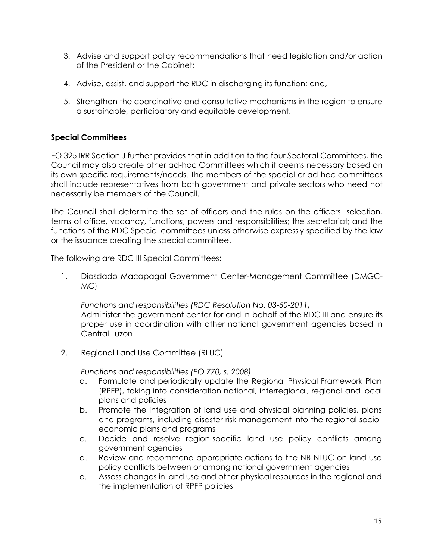- 3. Advise and support policy recommendations that need legislation and/or action of the President or the Cabinet;
- 4. Advise, assist, and support the RDC in discharging its function; and,
- 5. Strengthen the coordinative and consultative mechanisms in the region to ensure a sustainable, participatory and equitable development.

## **Special Committees**

EO 325 IRR Section J further provides that in addition to the four Sectoral Committees, the Council may also create other ad-hoc Committees which it deems necessary based on its own specific requirements/needs. The members of the special or ad-hoc committees shall include representatives from both government and private sectors who need not necessarily be members of the Council.

The Council shall determine the set of officers and the rules on the officers' selection, terms of office, vacancy, functions, powers and responsibilities; the secretariat; and the functions of the RDC Special committees unless otherwise expressly specified by the law or the issuance creating the special committee.

The following are RDC III Special Committees:

1. Diosdado Macapagal Government Center-Management Committee (DMGC-MC)

*Functions and responsibilities (RDC Resolution No. 03-50-2011)* Administer the government center for and in-behalf of the RDC III and ensure its proper use in coordination with other national government agencies based in Central Luzon

2. Regional Land Use Committee (RLUC)

*Functions and responsibilities (EO 770, s. 2008)*

- a. Formulate and periodically update the Regional Physical Framework Plan (RPFP), taking into consideration national, interregional, regional and local plans and policies
- b. Promote the integration of land use and physical planning policies, plans and programs, including disaster risk management into the regional socioeconomic plans and programs
- c. Decide and resolve region-specific land use policy conflicts among government agencies
- d. Review and recommend appropriate actions to the NB-NLUC on land use policy conflicts between or among national government agencies
- e. Assess changes in land use and other physical resources in the regional and the implementation of RPFP policies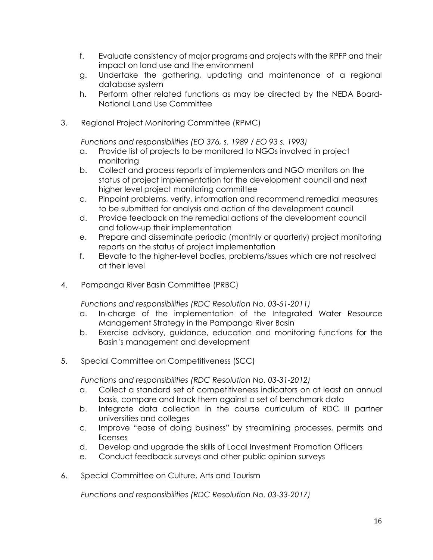- f. Evaluate consistency of major programs and projects with the RPFP and their impact on land use and the environment
- g. Undertake the gathering, updating and maintenance of a regional database system
- h. Perform other related functions as may be directed by the NEDA Board-National Land Use Committee
- 3. Regional Project Monitoring Committee (RPMC)

*Functions and responsibilities (EO 376, s. 1989 / EO 93 s. 1993)*

- a. Provide list of projects to be monitored to NGOs involved in project monitoring
- b. Collect and process reports of implementors and NGO monitors on the status of project implementation for the development council and next higher level project monitoring committee
- c. Pinpoint problems, verify, information and recommend remedial measures to be submitted for analysis and action of the development council
- d. Provide feedback on the remedial actions of the development council and follow-up their implementation
- e. Prepare and disseminate periodic (monthly or quarterly) project monitoring reports on the status of project implementation
- f. Elevate to the higher-level bodies, problems/issues which are not resolved at their level
- 4. Pampanga River Basin Committee (PRBC)

*Functions and responsibilities (RDC Resolution No. 03-51-2011)*

- a. In-charge of the implementation of the Integrated Water Resource Management Strategy in the Pampanga River Basin
- b. Exercise advisory, guidance, education and monitoring functions for the Basin's management and development
- 5. Special Committee on Competitiveness (SCC)

*Functions and responsibilities (RDC Resolution No. 03-31-2012)*

- a. Collect a standard set of competitiveness indicators on at least an annual basis, compare and track them against a set of benchmark data
- b. Integrate data collection in the course curriculum of RDC III partner universities and colleges
- c. Improve "ease of doing business" by streamlining processes, permits and licenses
- d. Develop and upgrade the skills of Local Investment Promotion Officers
- e. Conduct feedback surveys and other public opinion surveys
- 6. Special Committee on Culture, Arts and Tourism

*Functions and responsibilities (RDC Resolution No. 03-33-2017)*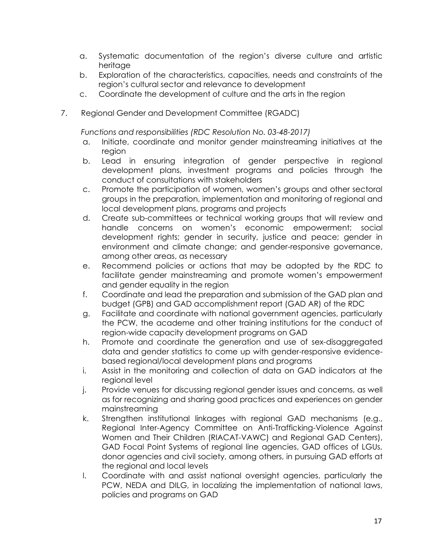- a. Systematic documentation of the region's diverse culture and artistic heritage
- b. Exploration of the characteristics, capacities, needs and constraints of the region's cultural sector and relevance to development
- c. Coordinate the development of culture and the arts in the region
- 7. Regional Gender and Development Committee (RGADC)

*Functions and responsibilities (RDC Resolution No. 03-48-2017)*

- a. Initiate, coordinate and monitor gender mainstreaming initiatives at the region
- b. Lead in ensuring integration of gender perspective in regional development plans, investment programs and policies through the conduct of consultations with stakeholders
- c. Promote the participation of women, women's groups and other sectoral groups in the preparation, implementation and monitoring of regional and local development plans, programs and projects
- d. Create sub-committees or technical working groups that will review and handle concerns on women's economic empowerment; social development rights; gender in security, justice and peace; gender in environment and climate change; and gender-responsive governance, among other areas, as necessary
- e. Recommend policies or actions that may be adopted by the RDC to facilitate gender mainstreaming and promote women's empowerment and gender equality in the region
- f. Coordinate and lead the preparation and submission of the GAD plan and budget (GPB) and GAD accomplishment report (GAD AR) of the RDC
- g. Facilitate and coordinate with national government agencies, particularly the PCW, the academe and other training institutions for the conduct of region-wide capacity development programs on GAD
- h. Promote and coordinate the generation and use of sex-disaggregated data and gender statistics to come up with gender-responsive evidencebased regional/local development plans and programs
- i. Assist in the monitoring and collection of data on GAD indicators at the regional level
- j. Provide venues for discussing regional gender issues and concerns, as well as for recognizing and sharing good practices and experiences on gender mainstreaming
- k. Strengthen institutional linkages with regional GAD mechanisms (e.g., Regional Inter-Agency Committee on Anti-Trafficking-Violence Against Women and Their Children (RIACAT-VAWC) and Regional GAD Centers), GAD Focal Point Systems of regional line agencies, GAD offices of LGUs, donor agencies and civil society, among others, in pursuing GAD efforts at the regional and local levels
- l. Coordinate with and assist national oversight agencies, particularly the PCW, NEDA and DILG, in localizing the implementation of national laws, policies and programs on GAD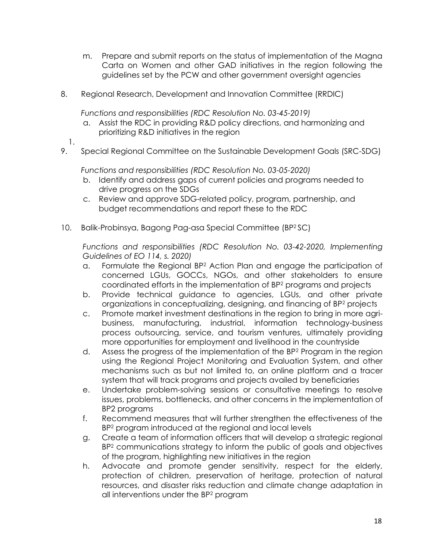- m. Prepare and submit reports on the status of implementation of the Magna Carta on Women and other GAD initiatives in the region following the guidelines set by the PCW and other government oversight agencies
- 8. Regional Research, Development and Innovation Committee (RRDIC)

*Functions and responsibilities (RDC Resolution No. 03-45-2019)*

- a. Assist the RDC in providing R&D policy directions, and harmonizing and prioritizing R&D initiatives in the region
- 1.
- 9. Special Regional Committee on the Sustainable Development Goals (SRC-SDG)

*Functions and responsibilities (RDC Resolution No. 03-05-2020)*

- b. Identify and address gaps of current policies and programs needed to drive progress on the SDGs
- c. Review and approve SDG-related policy, program, partnership, and budget recommendations and report these to the RDC
- 10. Balik-Probinsya, Bagong Pag-asa Special Committee (BP<sup>2</sup> SC)

*Functions and responsibilities (RDC Resolution No. 03-42-2020, Implementing Guidelines of EO 114, s. 2020)*

- a. Formulate the Regional BP<sup>2</sup> Action Plan and engage the participation of concerned LGUs, GOCCs, NGOs, and other stakeholders to ensure coordinated efforts in the implementation of BP<sup>2</sup> programs and projects
- b. Provide technical guidance to agencies, LGUs, and other private organizations in conceptualizing, designing, and financing of BP<sup>2</sup> projects
- c. Promote market investment destinations in the region to bring in more agribusiness, manufacturing, industrial, information technology-business process outsourcing, service, and tourism ventures, ultimately providing more opportunities for employment and livelihood in the countryside
- d. Assess the progress of the implementation of the BP<sup>2</sup> Program in the region using the Regional Project Monitoring and Evaluation System, and other mechanisms such as but not limited to, an online platform and a tracer system that will track programs and projects availed by beneficiaries
- e. Undertake problem-solving sessions or consultative meetings to resolve issues, problems, bottlenecks, and other concerns in the implementation of BP2 programs
- f. Recommend measures that will further strengthen the effectiveness of the BP<sup>2</sup> program introduced at the regional and local levels
- g. Create a team of information officers that will develop a strategic regional BP<sup>2</sup> communications strategy to inform the public of goals and objectives of the program, highlighting new initiatives in the region
- h. Advocate and promote gender sensitivity, respect for the elderly, protection of children, preservation of heritage, protection of natural resources, and disaster risks reduction and climate change adaptation in all interventions under the BP<sup>2</sup> program